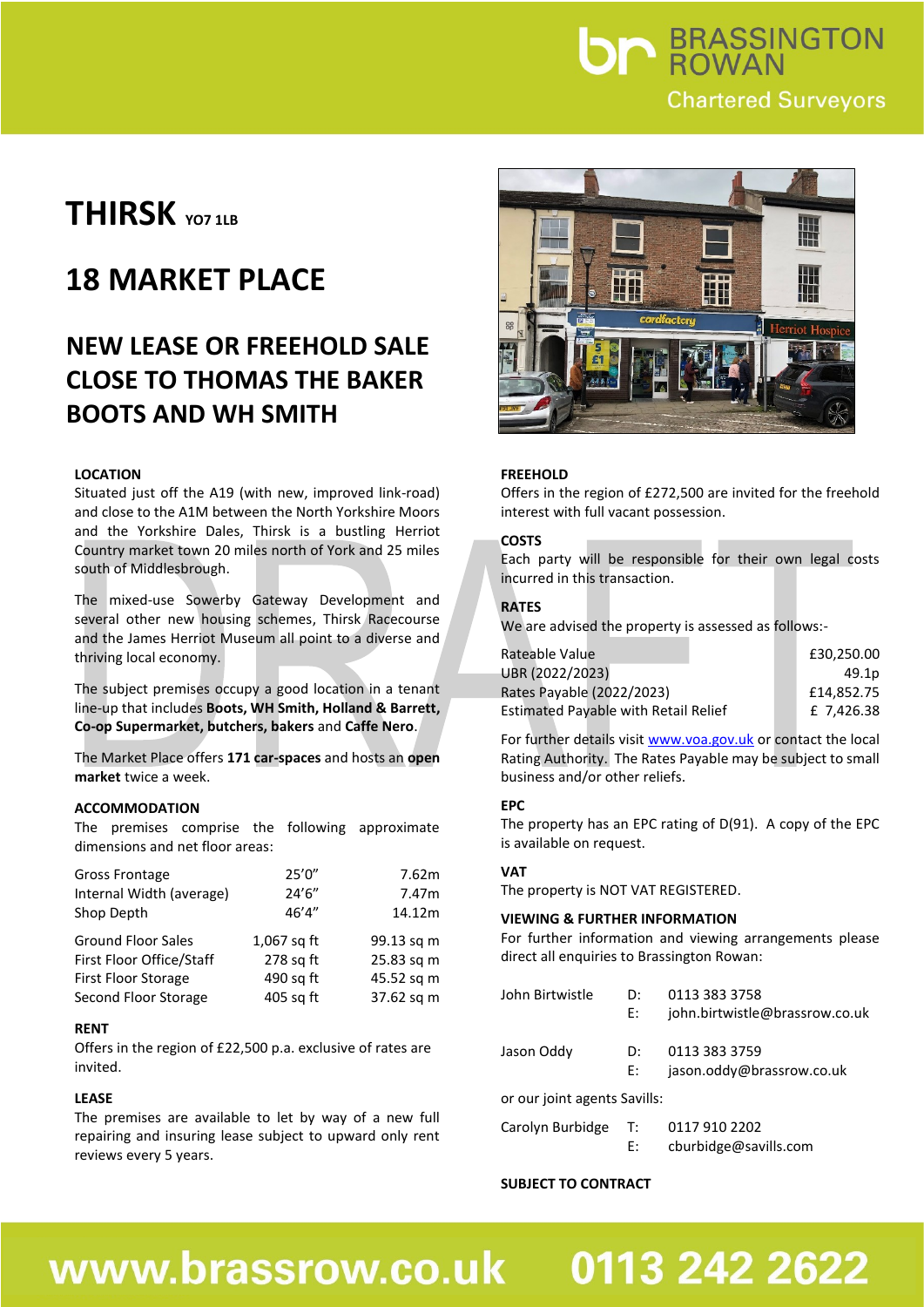## **Un BRASSINGTON Chartered Surveyors**

## **THIRSK YO7 1LB**

## **18 MARKET PLACE**

### **NEW LEASE OR FREEHOLD SALE CLOSE TO THOMAS THE BAKER BOOTS AND WH SMITH**

#### **LOCATION**

Situated just off the A19 (with new, improved link-road) and close to the A1M between the North Yorkshire Moors and the Yorkshire Dales, Thirsk is a bustling Herriot Country market town 20 miles north of York and 25 miles south of Middlesbrough.

The mixed-use Sowerby Gateway Development and several other new housing schemes, Thirsk Racecourse and the James Herriot Museum all point to a diverse and thriving local economy.

The subject premises occupy a good location in a tenant line-up that includes **Boots, WH Smith, Holland & Barrett, Co-op Supermarket, butchers, bakers** and **Caffe Nero**.

The Market Place offers **171 car-spaces** and hosts an **open market** twice a week.

#### **ACCOMMODATION**

The premises comprise the following approximate dimensions and net floor areas:

| Gross Frontage             | 25'0''        | 7.62m      |
|----------------------------|---------------|------------|
| Internal Width (average)   | 24'6''        | 7.47m      |
| Shop Depth                 | 46'4''        | 14.12m     |
| <b>Ground Floor Sales</b>  | $1,067$ sq ft | 99.13 sq m |
| First Floor Office/Staff   | 278 sq ft     | 25.83 sq m |
| <b>First Floor Storage</b> | 490 sq ft     | 45.52 sq m |
| Second Floor Storage       | 405 sq ft     | 37.62 sq m |

#### **RENT**

Offers in the region of £22,500 p.a. exclusive of rates are invited.

#### **LEASE**

The premises are available to let by way of a new full repairing and insuring lease subject to upward only rent reviews every 5 years.



#### **FREEHOLD**

Offers in the region of £272,500 are invited for the freehold interest with full vacant possession.

#### **COSTS**

Each party will be responsible for their own legal costs incurred in this transaction.

#### **RATES**

We are advised the property is assessed as follows:-

| Rateable Value                              | £30,250.00 |
|---------------------------------------------|------------|
| UBR (2022/2023)                             | 49.1p      |
| Rates Payable (2022/2023)                   | £14,852,75 |
| <b>Estimated Payable with Retail Relief</b> | £ 7.426.38 |

For further details visit [www.voa.gov.uk](http://www.voa.gov.uk/) or contact the local Rating Authority. The Rates Payable may be subject to small business and/or other reliefs.

#### **EPC**

The property has an EPC rating of D(91). A copy of the EPC is available on request.

#### **VAT**

The property is NOT VAT REGISTERED.

#### **VIEWING & FURTHER INFORMATION**

For further information and viewing arrangements please direct all enquiries to Brassington Rowan:

| John Birtwistle              | D:<br>E: | 0113 383 3758<br>john.birtwistle@brassrow.co.uk |  |  |
|------------------------------|----------|-------------------------------------------------|--|--|
| Jason Oddy                   | D:<br>E: | 0113 383 3759<br>jason.oddy@brassrow.co.uk      |  |  |
| or our joint agents Savills: |          |                                                 |  |  |

### E: cburbidge@savills.com

Carolyn Burbidge T: 0117 910 2202

#### **SUBJECT TO CONTRACT**

## www.brassrow.co.uk

# 0113 242 2622